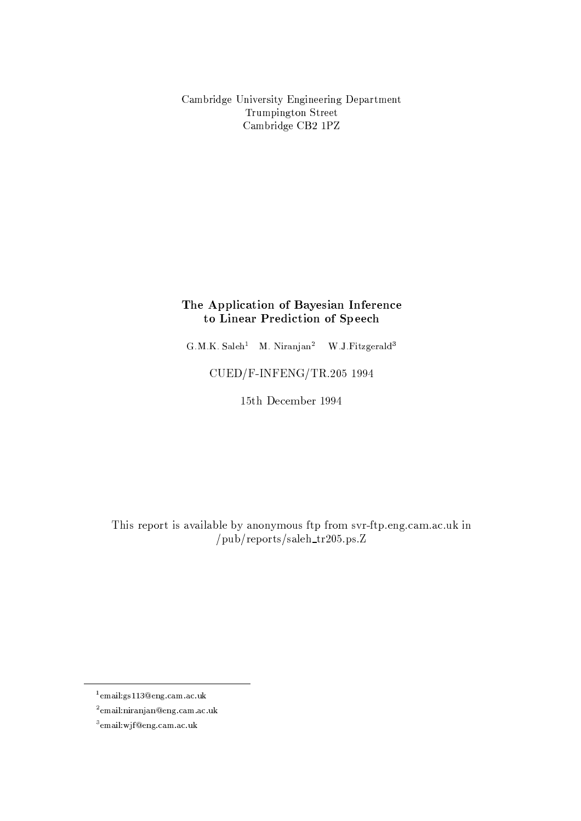Cambridge University Engineering Department Trumpington Street Cambridge CB2 1PZ

# The Application of Bayesian Inference to Linear Prediction of Speech

G.M.K. Saleh<sup>1</sup> M. Niranjan<sup>2</sup> W.J. Fitzgerald<sup>3</sup>

CUED/F-INFENG/TR.205 1994

15th December 1994

This report is available by anonymous ftp from svr-ftp.eng.cam.ac.uk in  $/\text{pub/reports/saleh_tr205.ps.Z}$ 

<sup>&</sup>lt;sup>1</sup>email:gs113@eng.cam.ac.uk

 $2$ email:niranjan@eng.cam.ac.uk

 $3$ email:wjf@eng.cam.ac.uk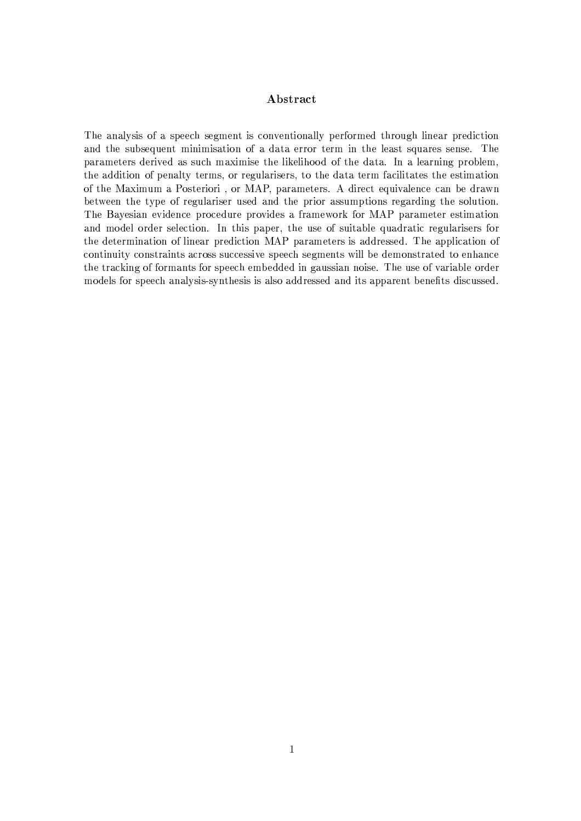## Abstract

The analysis of a speech segment is conventionally performed through linear prediction and the subsequent minimisation of a data error term in the least squares sense. The parameters derived as such maximise the likelihood of the data. In a learning problem, the addition of penalty terms, or regularisers, to the data term facilitates the estimation of the Maximum a Posteriori, or MAP, parameters. A direct equivalence can be drawn between the type of regulariser used and the prior assumptions regarding the solution. The Bayesian evidence procedure provides a framework for MAP parameter estimation and model order selection. In this paper, the use of suitable quadratic regularisers for the determination of linear prediction MAP parameters is addressed. The application of continuity constraints across successive speech segments will be demonstrated to enhance the tracking of formants for speech embedded in gaussian noise. The use of variable order models for speech analysis-synthesis is also addressed and its apparent benefits discussed.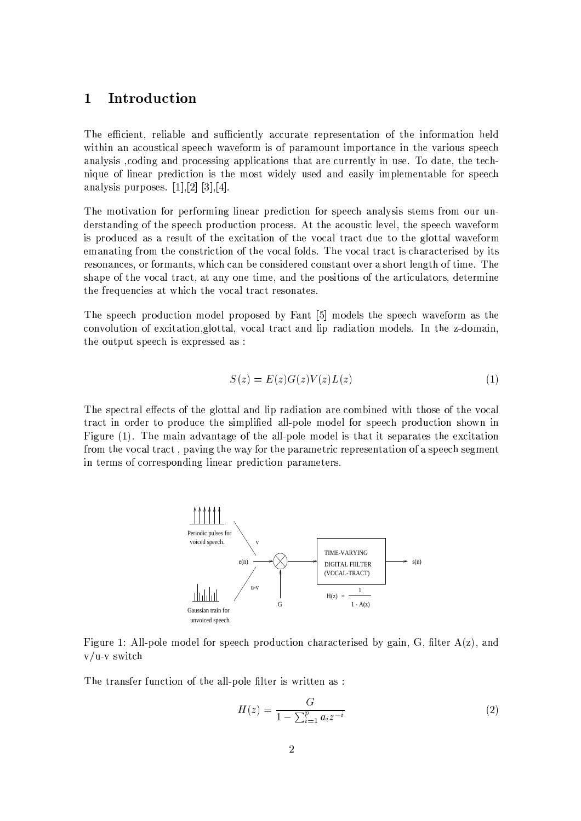#### $\mathbf{1}$ Introduction

The efficient, reliable and sufficiently accurate representation of the information held within an acoustical speech waveform is of paramount importance in the various speech analysis coding and processing applications that are currently in use. To date, the technique of linear prediction is the most widely used and easily implementable for speech analysis purposes.  $[1],[2]$   $[3],[4]$ .

The motivation for performing linear prediction for speech analysis stems from our understanding of the speech production process. At the acoustic level, the speech waveform is produced as a result of the excitation of the vocal tract due to the glottal waveform emanating from the constriction of the vocal folds. The vocal tract is characterised by its resonances, or formants, which can be considered constant over a short length of time. The shape of the vocal tract, at any one time, and the positions of the articulators, determine the frequencies at which the vocal tract resonates.

The speech production model proposed by Fant [5] models the speech waveform as the convolution of excitation, glottal, vocal tract and lip radiation models. In the z-domain, the output speech is expressed as:

$$
S(z) = E(z)G(z)V(z)L(z)
$$
\n<sup>(1)</sup>

The spectral effects of the glottal and lip radiation are combined with those of the vocal tract in order to produce the simplified all-pole model for speech production shown in Figure (1). The main advantage of the all-pole model is that it separates the excitation from the vocal tract, paving the way for the parametric representation of a speech segment in terms of corresponding linear prediction parameters.



Figure 1: All-pole model for speech production characterised by gain, G, filter  $A(z)$ , and  $v/u-v$  switch

The transfer function of the all-pole filter is written as:

$$
H(z) = \frac{G}{1 - \sum_{i=1}^{p} a_i z^{-i}}
$$
 (2)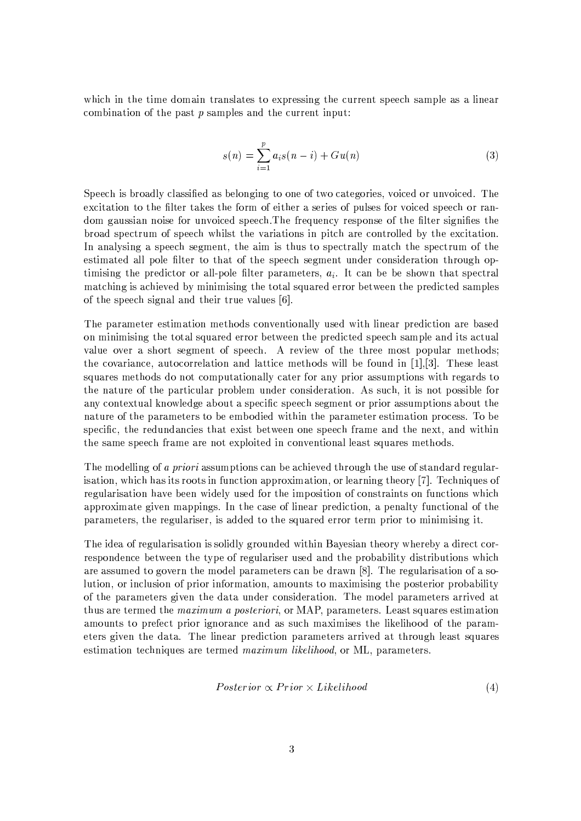which in the time domain translates to expressing the current speech sample as a linear combination of the past  $p$  samples and the current input:

$$
s(n) = \sum_{i=1}^{p} a_i s(n-i) + Gu(n)
$$
 (3)

Speech is broadly classified as belonging to one of two categories, voiced or unvoiced. The excitation to the filter takes the form of either a series of pulses for voiced speech or random gaussian noise for unvoiced speech. The frequency response of the filter signifies the broad spectrum of speech whilst the variations in pitch are controlled by the excitation. In analysing a speech segment, the aim is thus to spectrally match the spectrum of the estimated all pole filter to that of the speech segment under consideration through optimising the predictor or all-pole filter parameters,  $a_i$ . It can be be shown that spectral matching is achieved by minimising the total squared error between the predicted samples of the speech signal and their true values [6].

The parameter estimation methods conventionally used with linear prediction are based on minimising the total squared error between the predicted speech sample and its actual value over a short segment of speech. A review of the three most popular methods; the covariance, autocorrelation and lattice methods will be found in  $[1], [3]$ . These least squares methods do not computationally cater for any prior assumptions with regards to the nature of the particular problem under consideration. As such, it is not possible for any contextual knowledge about a specific speech segment or prior assumptions about the nature of the parameters to be embodied within the parameter estimation process. To be specific, the redundancies that exist between one speech frame and the next, and within the same speech frame are not exploited in conventional least squares methods.

The modelling of a priori assumptions can be achieved through the use of standard regularisation, which has its roots in function approximation, or learning theory [7]. Techniques of regularisation have been widely used for the imposition of constraints on functions which approximate given mappings. In the case of linear prediction, a penalty functional of the parameters, the regulariser, is added to the squared error term prior to minimising it.

The idea of regularisation is solidly grounded within Bayesian theory whereby a direct correspondence between the type of regulariser used and the probability distributions which are assumed to govern the model parameters can be drawn [8]. The regularisation of a solution, or inclusion of prior information, amounts to maximising the posterior probability of the parameters given the data under consideration. The model parameters arrived at thus are termed the *maximum a posteriori*, or MAP, parameters. Least squares estimation amounts to prefect prior ignorance and as such maximises the likelihood of the parameters given the data. The linear prediction parameters arrived at through least squares estimation techniques are termed *maximum likelihood*, or ML, parameters.

$$
Posterior \propto Prior \times Likelihood \tag{4}
$$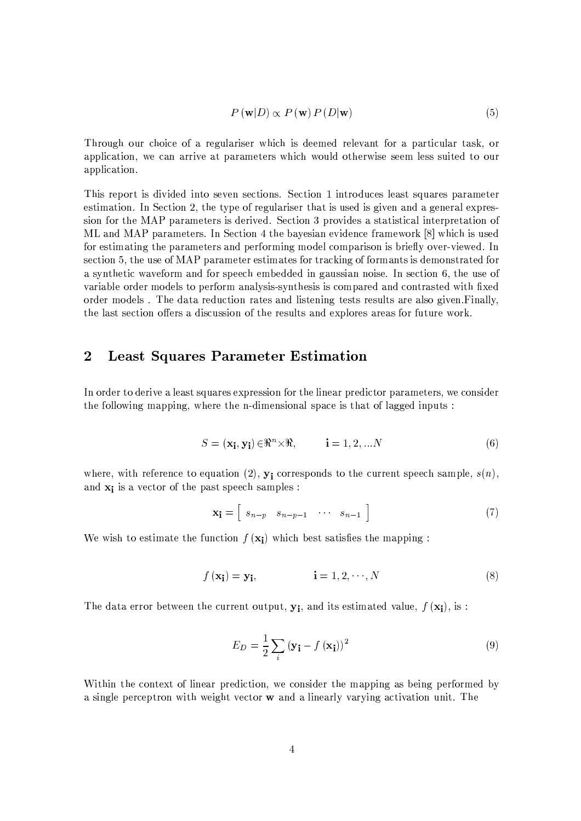$$
P(\mathbf{w}|D) \propto P(\mathbf{w}) P(D|\mathbf{w})
$$
\n(5)

Through our choice of a regulariser which is deemed relevant for a particular task, or application, we can arrive at parameters which would otherwise seem less suited to our application.

This report is divided into seven sections. Section 1 introduces least squares parameter estimation. In Section 2, the type of regulariser that is used is given and a general expression for the MAP parameters is derived. Section 3 provides a statistical interpretation of ML and MAP parameters. In Section 4 the bayesian evidence framework [8] which is used for estimating the parameters and performing model comparison is briefly over-viewed. In section 5, the use of MAP parameter estimates for tracking of formants is demonstrated for a synthetic waveform and for speech embedded in gaussian noise. In section 6, the use of variable order models to perform analysis-synthesis is compared and contrasted with fixed order models. The data reduction rates and listening tests results are also given. Finally, the last section offers a discussion of the results and explores areas for future work.

#### **Least Squares Parameter Estimation**  $\boldsymbol{2}$

In order to derive a least squares expression for the linear predictor parameters, we consider the following mapping, where the n-dimensional space is that of lagged inputs:

$$
S = (\mathbf{x_i}, \mathbf{y_i}) \in \mathbb{R}^n \times \mathbb{R}, \qquad \mathbf{i} = 1, 2, \dots N \tag{6}
$$

where, with reference to equation (2),  $y_i$  corresponds to the current speech sample,  $s(n)$ , and  $x_i$  is a vector of the past speech samples:

$$
\mathbf{x_i} = \begin{bmatrix} s_{n-p} & s_{n-p-1} & \cdots & s_{n-1} \end{bmatrix} \tag{7}
$$

We wish to estimate the function  $f(\mathbf{x}_i)$  which best satisfies the mapping:

$$
f(\mathbf{x_i}) = \mathbf{y_i}, \qquad \qquad i = 1, 2, \cdots, N \tag{8}
$$

The data error between the current output,  $y_i$ , and its estimated value,  $f(\mathbf{x}_i)$ , is:

$$
E_D = \frac{1}{2} \sum_{i} \left( \mathbf{y_i} - f\left(\mathbf{x_i}\right) \right)^2 \tag{9}
$$

Within the context of linear prediction, we consider the mapping as being performed by a single perceptron with weight vector **w** and a linearly varying activation unit. The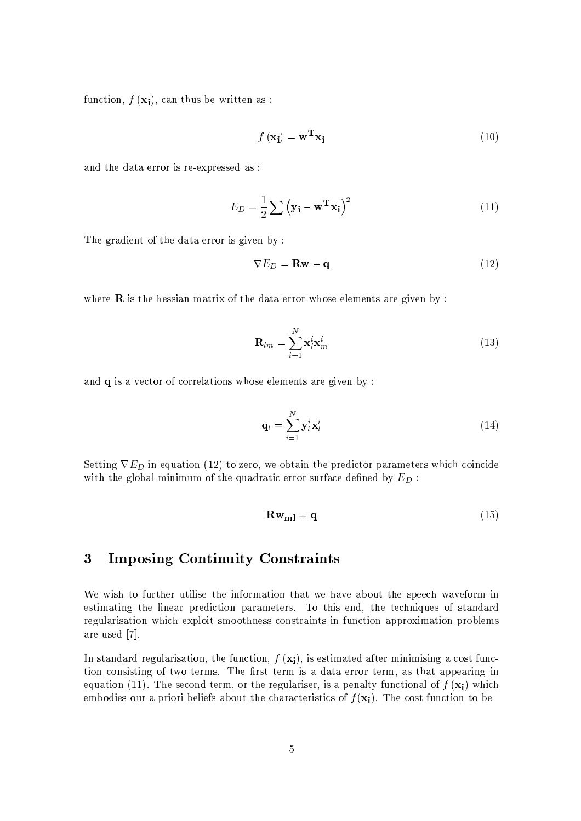function,  $f(\mathbf{x_i})$ , can thus be written as :

$$
f(\mathbf{x_i}) = \mathbf{w^T} \mathbf{x_i} \tag{10}
$$

and the data error is re-expressed as :

$$
E_D = \frac{1}{2} \sum (\mathbf{y_i} - \mathbf{w^T} \mathbf{x_i})^2
$$
 (11)

The gradient of the data error is given by:

$$
\nabla E_D = \mathbf{R} \mathbf{w} - \mathbf{q} \tag{12}
$$

where  $\bf{R}$  is the hessian matrix of the data error whose elements are given by :

$$
\mathbf{R}_{lm} = \sum_{i=1}^{N} \mathbf{x}_l^i \mathbf{x}_m^i
$$
 (13)

and  $q$  is a vector of correlations whose elements are given by :

$$
\mathbf{q}_l = \sum_{i=1}^N \mathbf{y}_l^i \mathbf{x}_l^i
$$
 (14)

Setting  $\nabla E_D$  in equation (12) to zero, we obtain the predictor parameters which coincide with the global minimum of the quadratic error surface defined by  $E_D$ :

$$
\mathbf{R}\mathbf{w}_{\mathbf{m}} = \mathbf{q} \tag{15}
$$

#### 3 **Imposing Continuity Constraints**

We wish to further utilise the information that we have about the speech waveform in estimating the linear prediction parameters. To this end, the techniques of standard regularisation which exploit smoothness constraints in function approximation problems are used [7].

In standard regularisation, the function,  $f(\mathbf{x}_i)$ , is estimated after minimising a cost function consisting of two terms. The first term is a data error term, as that appearing in equation (11). The second term, or the regulariser, is a penalty functional of  $f(\mathbf{x_i})$  which embodies our a priori beliefs about the characteristics of  $f(\mathbf{x_i})$ . The cost function to be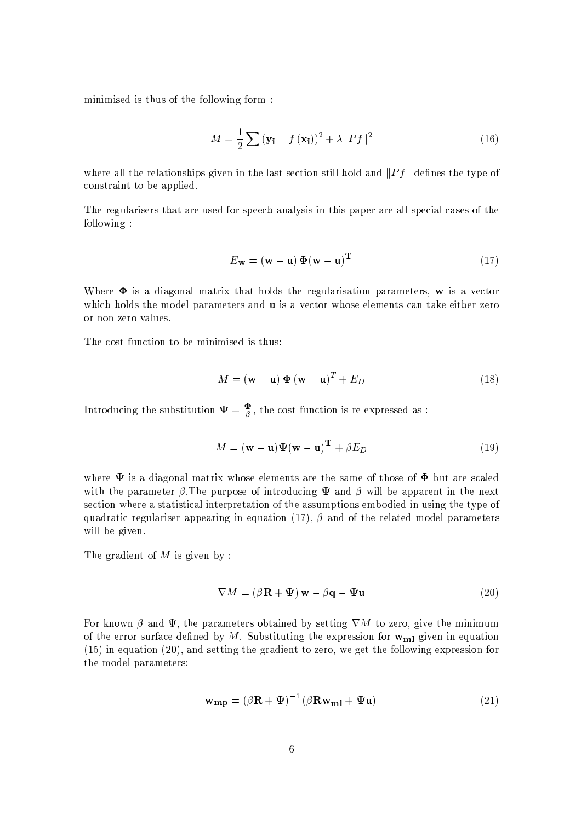minimised is thus of the following form:

$$
M = \frac{1}{2} \sum (\mathbf{y_i} - f(\mathbf{x_i}))^2 + \lambda ||Pf||^2
$$
 (16)

where all the relationships given in the last section still hold and  $||Pf||$  defines the type of constraint to be applied.

The regularisers that are used for speech analysis in this paper are all special cases of the following:

$$
E_{\mathbf{w}} = (\mathbf{w} - \mathbf{u}) \Phi(\mathbf{w} - \mathbf{u})^{\mathbf{T}}
$$
 (17)

Where  $\Phi$  is a diagonal matrix that holds the regularisation parameters, w is a vector which holds the model parameters and **u** is a vector whose elements can take either zero or non-zero values.

The cost function to be minimised is thus:

$$
M = (\mathbf{w} - \mathbf{u}) \Phi (\mathbf{w} - \mathbf{u})^T + E_D
$$
 (18)

Introducing the substitution  $\Psi = \frac{\Phi}{\beta}$ , the cost function is re-expressed as :

$$
M = (\mathbf{w} - \mathbf{u})\Psi(\mathbf{w} - \mathbf{u})^{\mathbf{T}} + \beta E_D
$$
 (19)

where  $\Psi$  is a diagonal matrix whose elements are the same of those of  $\Phi$  but are scaled with the parameter  $\beta$ . The purpose of introducing  $\Psi$  and  $\beta$  will be apparent in the next section where a statistical interpretation of the assumptions embodied in using the type of quadratic regulariser appearing in equation (17),  $\beta$  and of the related model parameters will be given.

The gradient of  $M$  is given by:

$$
\nabla M = (\beta \mathbf{R} + \Psi) \mathbf{w} - \beta \mathbf{q} - \Psi \mathbf{u}
$$
 (20)

For known  $\beta$  and  $\Psi$ , the parameters obtained by setting  $\nabla M$  to zero, give the minimum of the error surface defined by M. Substituting the expression for  $w_{m1}$  given in equation  $(15)$  in equation  $(20)$ , and setting the gradient to zero, we get the following expression for the model parameters:

$$
\mathbf{w}_{\mathbf{mp}} = (\beta \mathbf{R} + \boldsymbol{\Psi})^{-1} (\beta \mathbf{R} \mathbf{w}_{\mathbf{ml}} + \boldsymbol{\Psi} \mathbf{u}) \tag{21}
$$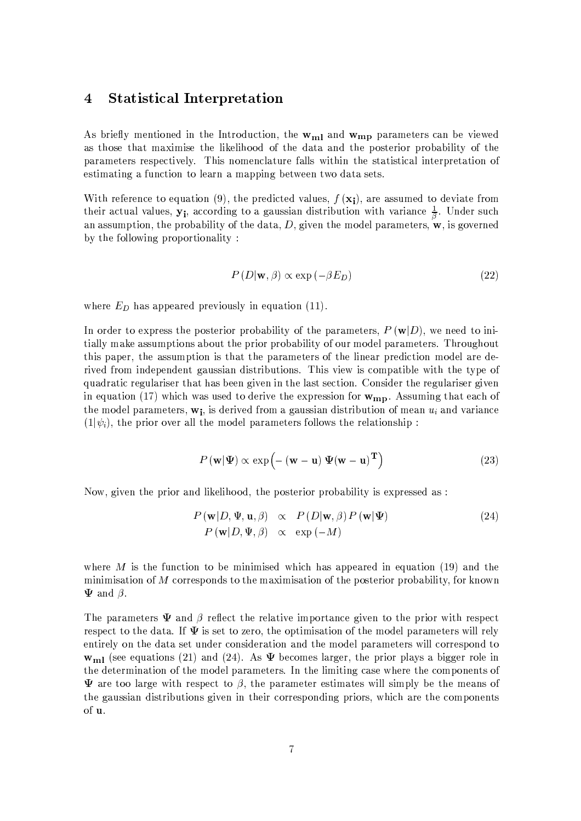#### $\overline{4}$ **Statistical Interpretation**

As briefly mentioned in the Introduction, the  $w_{m1}$  and  $w_{mp}$  parameters can be viewed as those that maximise the likelihood of the data and the posterior probability of the parameters respectively. This nomenclature falls within the statistical interpretation of estimating a function to learn a mapping between two data sets.

With reference to equation (9), the predicted values,  $f(\mathbf{x_i})$ , are assumed to deviate from their actual values,  $y_i$ , according to a gaussian distribution with variance  $\frac{1}{\beta}$ . Under such an assumption, the probability of the data,  $D$ , given the model parameters,  $w$ , is governed by the following proportionality:

$$
P(D|\mathbf{w}, \beta) \propto \exp(-\beta E_D) \tag{22}
$$

where  $E_D$  has appeared previously in equation (11).

In order to express the posterior probability of the parameters,  $P(\mathbf{w}|D)$ , we need to intially make assumptions about the prior probability of our model parameters. Throughout this paper, the assumption is that the parameters of the linear prediction model are derived from independent gaussian distributions. This view is compatible with the type of quadratic regulariser that has been given in the last section. Consider the regulariser given in equation (17) which was used to derive the expression for  $w_{mp}$ . Assuming that each of the model parameters,  $w_i$ , is derived from a gaussian distribution of mean  $u_i$  and variance  $(1|\psi_i)$ , the prior over all the model parameters follows the relationship:

$$
P(\mathbf{w}|\Psi) \propto \exp(-(\mathbf{w} - \mathbf{u})\Psi(\mathbf{w} - \mathbf{u})^{\mathrm{T}})
$$
 (23)

Now, given the prior and likelihood, the posterior probability is expressed as :

$$
P(\mathbf{w}|D, \Psi, \mathbf{u}, \beta) \propto P(D|\mathbf{w}, \beta) P(\mathbf{w}|\Psi)
$$
  
\n
$$
P(\mathbf{w}|D, \Psi, \beta) \propto \exp(-M)
$$
\n(24)

where M is the function to be minimised which has appeared in equation (19) and the minimisation of  $M$  corresponds to the maximisation of the posterior probability, for known  $\Psi$  and  $\beta$ .

The parameters  $\Psi$  and  $\beta$  reflect the relative importance given to the prior with respect respect to the data. If  $\Psi$  is set to zero, the optimisation of the model parameters will rely entirely on the data set under consideration and the model parameters will correspond to  $\mathbf{w}_{ml}$  (see equations (21) and (24). As  $\Psi$  becomes larger, the prior plays a bigger role in the determination of the model parameters. In the limiting case where the components of  $\Psi$  are too large with respect to  $\beta$ , the parameter estimates will simply be the means of the gaussian distributions given in their corresponding priors, which are the components of u.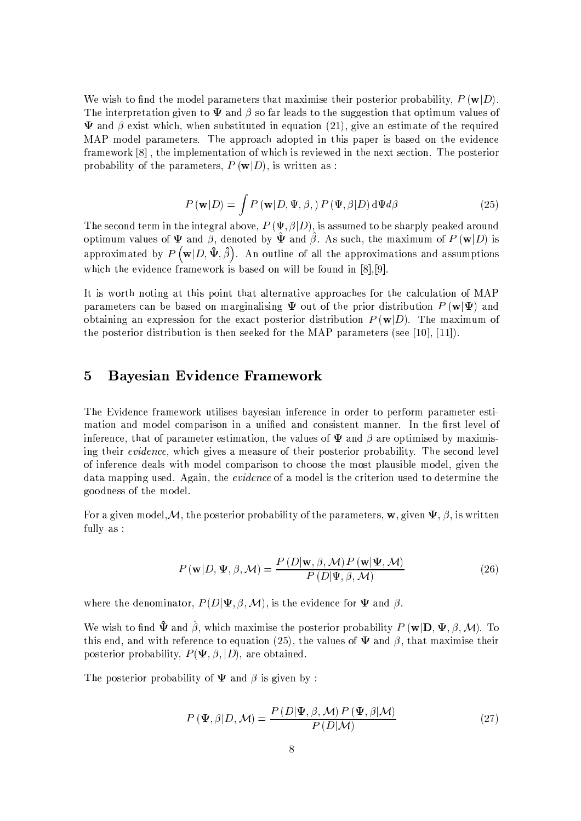We wish to find the model parameters that maximise their posterior probability,  $P(\mathbf{w}|D)$ . The interpretation given to  $\Psi$  and  $\beta$  so far leads to the suggestion that optimum values of  $\Psi$  and  $\beta$  exist which, when substituted in equation (21), give an estimate of the required MAP model parameters. The approach adopted in this paper is based on the evidence framework [8], the implementation of which is reviewed in the next section. The posterior probability of the parameters,  $P(\mathbf{w}|D)$ , is written as:

$$
P(\mathbf{w}|D) = \int P(\mathbf{w}|D, \Psi, \beta) P(\Psi, \beta|D) d\Psi d\beta
$$
 (25)

The second term in the integral above,  $P(\Psi, \beta|D)$ , is assumed to be sharply peaked around optimum values of  $\Psi$  and  $\beta$ , denoted by  $\hat{\Psi}$  and  $\hat{\beta}$ . As such, the maximum of  $P(\mathbf{w}|D)$  is approximated by  $P(\mathbf{w}|D,\hat{\mathbf{\Psi}},\hat{\beta})$ . An outline of all the approximations and assumptions which the evidence framework is based on will be found in [8],[9]

It is worth noting at this point that alternative approaches for the calculation of MAP parameters can be based on marginalising  $\Psi$  out of the prior distribution  $P(\mathbf{w}|\Psi)$  and obtaining an expression for the exact posterior distribution  $P(\mathbf{w}|D)$ . The maximum of the posterior distribution is then seeked for the MAP parameters (see [10], [11]).

#### $\overline{5}$ **Bayesian Evidence Framework**

The Evidence framework utilises bayesian inference in order to perform parameter estimation and model comparison in a unified and consistent manner. In the first level of inference, that of parameter estimation, the values of  $\Psi$  and  $\beta$  are optimised by maximising their *evidence*, which gives a measure of their posterior probability. The second level of inference deals with model comparison to choose the most plausible model, given the data mapping used. Again, the *evidence* of a model is the criterion used to determine the goodness of the model.

For a given model, M, the posterior probability of the parameters, w, given  $\Psi$ ,  $\beta$ , is written fully as :

$$
P(\mathbf{w}|D, \Psi, \beta, \mathcal{M}) = \frac{P(D|\mathbf{w}, \beta, \mathcal{M}) P(\mathbf{w}|\Psi, \mathcal{M})}{P(D|\Psi, \beta, \mathcal{M})}
$$
(26)

where the denominator,  $P(D|\Psi, \beta, \mathcal{M})$ , is the evidence for  $\Psi$  and  $\beta$ .

We wish to find  $\hat{\Psi}$  and  $\hat{\beta}$ , which maximise the posterior probability  $P(\mathbf{w}|\mathbf{D}, \Psi, \beta, \mathcal{M})$ . To this end, and with reference to equation (25), the values of  $\Psi$  and  $\beta$ , that maximise their posterior probability,  $P(\Psi, \beta, |D)$ , are obtained.

The posterior probability of  $\Psi$  and  $\beta$  is given by:

$$
P(\Psi, \beta | D, \mathcal{M}) = \frac{P(D | \Psi, \beta, \mathcal{M}) P(\Psi, \beta | \mathcal{M})}{P(D | \mathcal{M})}
$$
(27)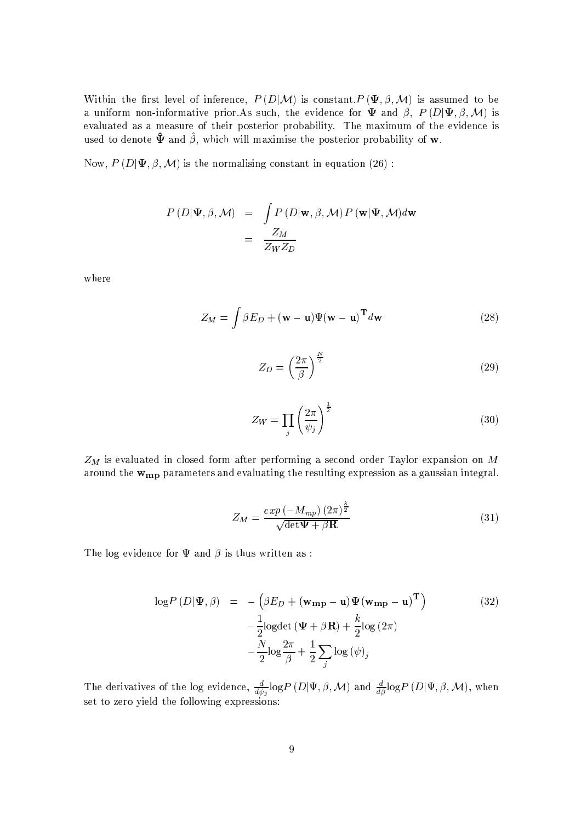Within the first level of inference,  $P(D|M)$  is constant.  $P(\Psi, \beta, M)$  is assumed to be a uniform non-informative prior. As such, the evidence for  $\Psi$  and  $\beta$ ,  $P(D|\Psi, \beta, \mathcal{M})$  is evaluated as a measure of their posterior probability. The maximum of the evidence is used to denote  $\hat{\mathbf{\Psi}}$  and  $\hat{\beta}$ , which will maximise the posterior probability of **w**.

Now,  $P(D|\Psi, \beta, \mathcal{M})$  is the normalising constant in equation (26):

$$
P(D|\Psi, \beta, \mathcal{M}) = \int P(D|\mathbf{w}, \beta, \mathcal{M}) P(\mathbf{w}|\Psi, \mathcal{M}) d\mathbf{w}
$$

$$
= \frac{Z_M}{Z_W Z_D}
$$

where

$$
Z_M = \int \beta E_D + (\mathbf{w} - \mathbf{u}) \Psi(\mathbf{w} - \mathbf{u})^{\mathbf{T}} d\mathbf{w}
$$
 (28)

$$
Z_D = \left(\frac{2\pi}{\beta}\right)^{\frac{N}{2}}\tag{29}
$$

$$
Z_W = \prod_j \left(\frac{2\pi}{\psi_j}\right)^{\frac{1}{2}}\tag{30}
$$

 $Z_M$  is evaluated in closed form after performing a second order Taylor expansion on M around the  $w_{mp}$  parameters and evaluating the resulting expression as a gaussian integral.

$$
Z_M = \frac{\exp\left(-M_{mp}\right)(2\pi)^{\frac{k}{2}}}{\sqrt{\det \Psi + \beta \mathbf{R}}}
$$
(31)

The log evidence for  $\Psi$  and  $\beta$  is thus written as:

$$
\log P(D|\Psi, \beta) = -(\beta E_D + (\mathbf{w_{mp}} - \mathbf{u}) \Psi (\mathbf{w_{mp}} - \mathbf{u})^{\mathrm{T}}) -\frac{1}{2} \log \det (\Psi + \beta \mathbf{R}) + \frac{k}{2} \log (2\pi) -\frac{N}{2} \log \frac{2\pi}{\beta} + \frac{1}{2} \sum_j \log (\psi)_j
$$
 (32)

The derivatives of the log evidence,  $\frac{d}{d\psi_j} \log P(D|\Psi, \beta, \mathcal{M})$  and  $\frac{d}{d\beta} \log P(D|\Psi, \beta, \mathcal{M})$ , when set to zero yield the following expressions: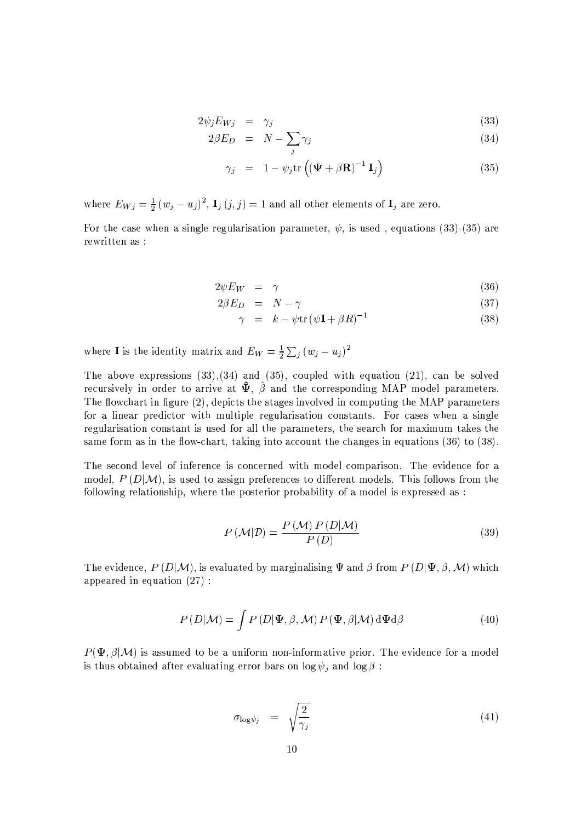$$
2\psi_j E_{Wj} = \gamma_j \tag{33}
$$

$$
2\beta E_D = N - \sum_{i} \gamma_i \tag{34}
$$

$$
\gamma_j = 1 - \psi_j \text{tr}\left( (\mathbf{\Psi} + \beta \mathbf{R})^{-1} \mathbf{I}_j \right) \tag{35}
$$

where  $E_{Wj} = \frac{1}{2} (w_j - u_j)^2$ ,  $\mathbf{I}_j (j, j) = 1$  and all other elements of  $\mathbf{I}_j$  are zero.

For the case when a single regularisation parameter,  $\psi$ , is used, equations (33)-(35) are rewritten as :

$$
2\psi E_W = \gamma \tag{36}
$$

$$
2\beta E_D = N - \gamma \tag{37}
$$

$$
\gamma = k - \psi \text{tr} \left( \psi \mathbf{I} + \beta R \right)^{-1} \tag{38}
$$

where **I** is the identity matrix and  $E_W = \frac{1}{2} \sum_j (w_j - u_j)^2$ 

The above expressions  $(33),(34)$  and  $(35)$ , coupled with equation  $(21)$ , can be solved recursively in order to arrive at  $\hat{\Psi}$ ,  $\hat{\beta}$  and the corresponding MAP model parameters. The flowchart in figure (2), depicts the stages involved in computing the MAP parameters for a linear predictor with multiple regularisation constants. For cases when a single regularisation constant is used for all the parameters, the search for maximum takes the same form as in the flow-chart, taking into account the changes in equations  $(36)$  to  $(38)$ .

The second level of inference is concerned with model comparison. The evidence for a model,  $P(D|M)$ , is used to assign preferences to different models. This follows from the following relationship, where the posterior probability of a model is expressed as:

$$
P\left(\mathcal{M}|\mathcal{D}\right) = \frac{P\left(\mathcal{M}\right)P\left(D|\mathcal{M}\right)}{P\left(D\right)}\tag{39}
$$

The evidence,  $P(D|M)$ , is evaluated by marginalising  $\Psi$  and  $\beta$  from  $P(D|\Psi, \beta, \mathcal{M})$  which appeared in equation  $(27)$ :

$$
P(D|M) = \int P(D|\Psi, \beta, M) P(\Psi, \beta|M) d\Psi d\beta
$$
 (40)

 $P(\Psi, \beta | \mathcal{M})$  is assumed to be a uniform non-informative prior. The evidence for a model is thus obtained after evaluating error bars on  $\log \psi_i$  and  $\log \beta$ :

$$
\sigma_{\log \psi_j} = \sqrt{\frac{2}{\gamma_j}} \tag{41}
$$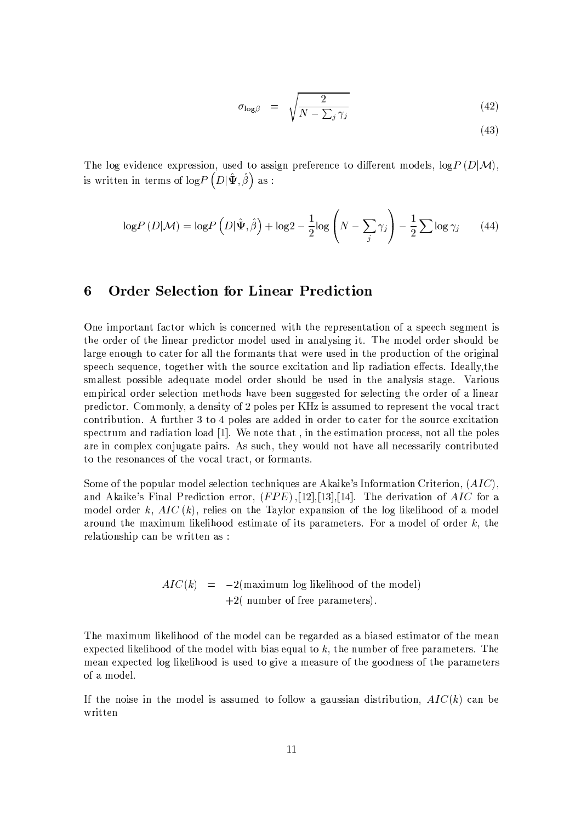$$
\sigma_{\log\beta} = \sqrt{\frac{2}{N - \sum_j \gamma_j}}
$$
\n(42)

 $(43)$ 

The log evidence expression, used to assign preference to different models,  $log P(D|M)$ , is written in terms of  $\log\! P\left(D|\hat{\Psi},\hat{\beta}\right)$  as :

$$
\log P(D|M) = \log P(D|\hat{\Psi}, \hat{\beta}) + \log 2 - \frac{1}{2}\log \left(N - \sum_{j} \gamma_{j}\right) - \frac{1}{2}\sum \log \gamma_{j} \tag{44}
$$

#### **Order Selection for Linear Prediction**  $\boldsymbol{6}$

One important factor which is concerned with the representation of a speech segment is the order of the linear predictor model used in analysing it. The model order should be large enough to cater for all the formants that were used in the production of the original speech sequence, together with the source excitation and lip radiation effects. Ideally, the smallest possible adequate model order should be used in the analysis stage. Various empirical order selection methods have been suggested for selecting the order of a linear predictor. Commonly, a density of 2 poles per KHz is assumed to represent the vocal tract contribution. A further 3 to 4 poles are added in order to cater for the source excitation spectrum and radiation load [1]. We note that, in the estimation process, not all the poles are in complex conjugate pairs. As such, they would not have all necessarily contributed to the resonances of the vocal tract, or formants.

Some of the popular model selection techniques are Akaike's Information Criterion,  $(AIC)$ , and Akaike's Final Prediction error,  $(FPE)$ , [12], [13], [14]. The derivation of AIC for a model order k,  $AIC(k)$ , relies on the Taylor expansion of the log likelihood of a model around the maximum likelihood estimate of its parameters. For a model of order  $k$ , the relationship can be written as:

$$
AIC(k) = -2(\text{maximum log likelihood of the model})
$$
  
+2( number of free parameters).

The maximum likelihood of the model can be regarded as a biased estimator of the mean expected likelihood of the model with bias equal to  $k$ , the number of free parameters. The mean expected log likelihood is used to give a measure of the goodness of the parameters of a model.

If the noise in the model is assumed to follow a gaussian distribution,  $AIC(k)$  can be written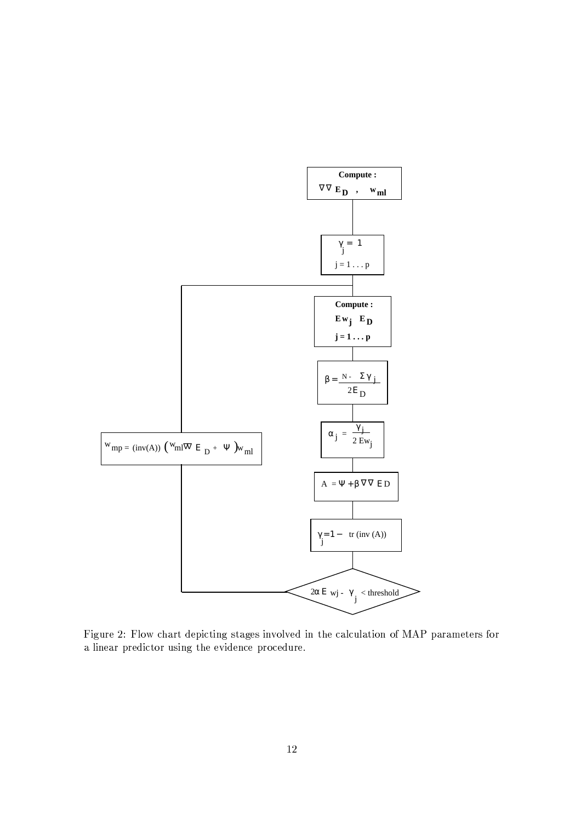

Figure 2: Flow chart depicting stages involved in the calculation of MAP parameters for a linear predictor using the evidence procedure.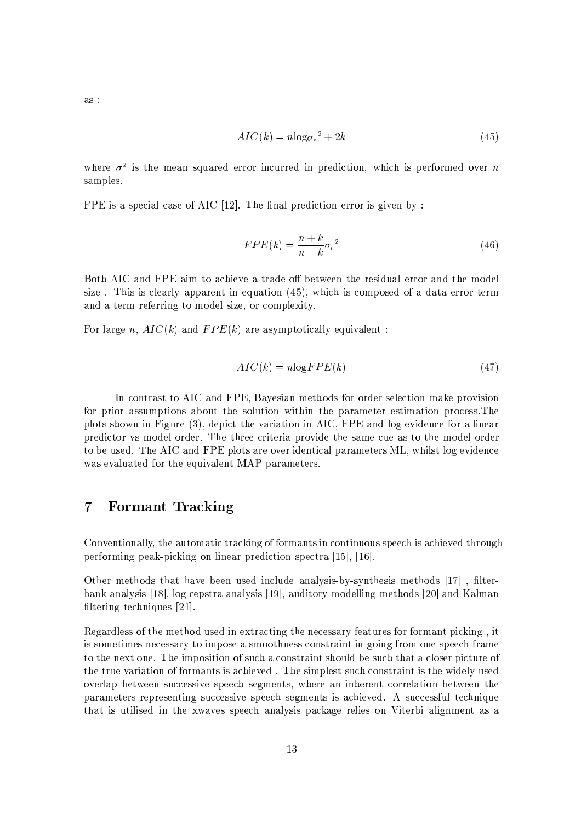as :

$$
AIC(k) = n \log \sigma_{\epsilon}^2 + 2k \tag{45}
$$

where  $\sigma^2$  is the mean squared error incurred in prediction, which is performed over n samples.

FPE is a special case of AIC  $[12]$ . The final prediction error is given by :

$$
FPE(k) = \frac{n+k}{n-k} \sigma_{\epsilon}^{2}
$$
\n(46)

Both AIC and FPE aim to achieve a trade-off between the residual error and the model size. This is clearly apparent in equation (45), which is composed of a data error term and a term referring to model size, or complexity.

For large n,  $AIC(k)$  and  $FPE(k)$  are asymptotically equivalent:

$$
AIC(k) = n \log FPE(k) \tag{47}
$$

In contrast to AIC and FPE, Bayesian methods for order selection make provision for prior assumptions about the solution within the parameter estimation process. The plots shown in Figure (3), depict the variation in AIC, FPE and log evidence for a linear predictor vs model order. The three criteria provide the same cue as to the model order to be used. The AIC and FPE plots are over identical parameters ML, whilst log evidence was evaluated for the equivalent MAP parameters.

### **Formant Tracking**  $\overline{7}$

Conventionally, the automatic tracking of formants in continuous speech is achieved through performing peak-picking on linear prediction spectra  $[15]$ ,  $[16]$ .

Other methods that have been used include analysis-by-synthesis methods [17], filterbank analysis [18], log cepstra analysis [19], auditory modelling methods [20] and Kalman filtering techniques [21].

Regardless of the method used in extracting the necessary features for formant picking, it is sometimes necessary to impose a smoothness constraint in going from one speech frame to the next one. The imposition of such a constraint should be such that a closer picture of the true variation of formants is achieved. The simplest such constraint is the widely used overlap between successive speech segments, where an inherent correlation between the parameters representing successive speech segments is achieved. A successful technique that is utilised in the xwaves speech analysis package relies on Viterbi alignment as a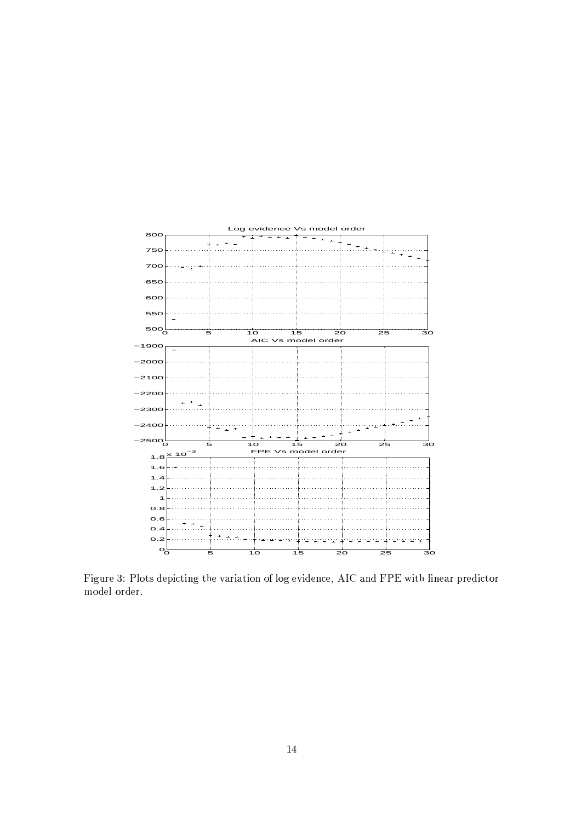

 $\mathbb{R}^n$  is a substitute of the contract of the contract of the contract of the contract of the contract of the contract of the contract of the contract of the contract of the contract of the contract of the contract of \*+ \*+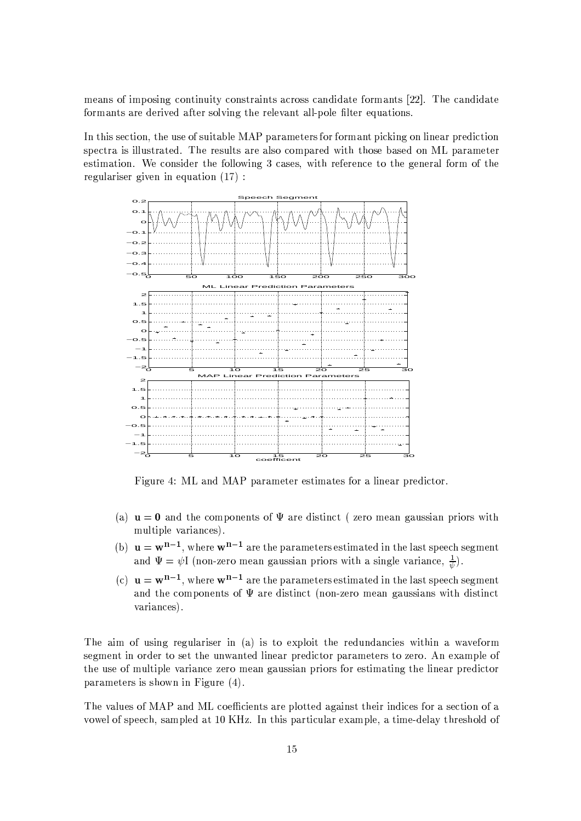means of imposing continuity constraints across candidate formants [22]. The candidate formants are derived after solving the relevant all-pole filter equations.

In this section, the use of suitable MAP parameters for formant picking on linear prediction spectra is illustrated. The results are also compared with those based on ML parameter estimation. We consider the following 3 cases, with reference to the general form of the regulariser given in equation  $(17)$ :



Figure 4: ML and MAP parameter estimates for a linear predictor.

- (a)  $\mathbf{u} = \mathbf{0}$  and the components of  $\Psi$  are distinct (zero mean gaussian priors with multiple variances).
- (b)  $\mathbf{u} = \mathbf{w}^{n-1}$ , where  $\mathbf{w}^{n-1}$  are the parameters estimated in the last speech segment and  $\Psi = \psi I$  (non-zero mean gaussian priors with a single variance,  $\frac{1}{\psi}$ ).
- (c)  $\mathbf{u} = \mathbf{w}^{n-1}$ , where  $\mathbf{w}^{n-1}$  are the parameters estimated in the last speech segment and the components of  $\Psi$  are distinct (non-zero mean gaussians with distinct variances).

The aim of using regulariser in (a) is to exploit the redundancies within a waveform segment in order to set the unwanted linear predictor parameters to zero. An example of the use of multiple variance zero mean gaussian priors for estimating the linear predictor parameters is shown in Figure  $(4)$ .

The values of MAP and ML coefficients are plotted against their indices for a section of a vowel of speech, sampled at 10 KHz. In this particular example, a time-delay threshold of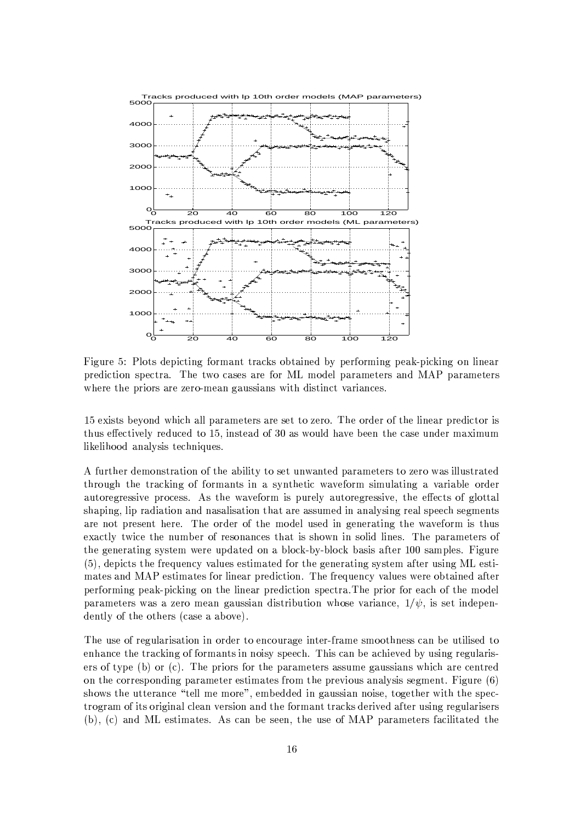

Figure 5: Plots depicting formant tracks obtained by performing peak-picking on linear prediction spectra. The two cases are for ML model parameters and MAP parameters where the priors are zero-mean gaussians with distinct variances.

15 exists beyond which all parameters are set to zero. The order of the linear predictor is thus effectively reduced to 15, instead of 30 as would have been the case under maximum likelihood analysis techniques.

A further demonstration of the ability to set unwanted parameters to zero was illustrated through the tracking of formants in a synthetic waveform simulating a variable order autoregressive process. As the waveform is purely autoregressive, the effects of glottal shaping, lip radiation and nasalisation that are assumed in analysing real speech segments are not present here. The order of the model used in generating the waveform is thus exactly twice the number of resonances that is shown in solid lines. The parameters of the generating system were updated on a block-by-block basis after 100 samples. Figure (5), depicts the frequency values estimated for the generating system after using ML estimates and MAP estimates for linear prediction. The frequency values were obtained after performing peak-picking on the linear prediction spectra. The prior for each of the model parameters was a zero mean gaussian distribution whose variance,  $1/\psi$ , is set independently of the others (case a above).

The use of regularization in order to encourage inter-frame smoothness can be utilised to enhance the tracking of formants in noisy speech. This can be achieved by using regularisers of type (b) or (c). The priors for the parameters assume gaussians which are centred on the corresponding parameter estimates from the previous analysis segment. Figure  $(6)$ shows the utterance "tell me more", embedded in gaussian noise, together with the spectrogram of its original clean version and the formant tracks derived after using regularisers (b), (c) and ML estimates. As can be seen, the use of MAP parameters facilitated the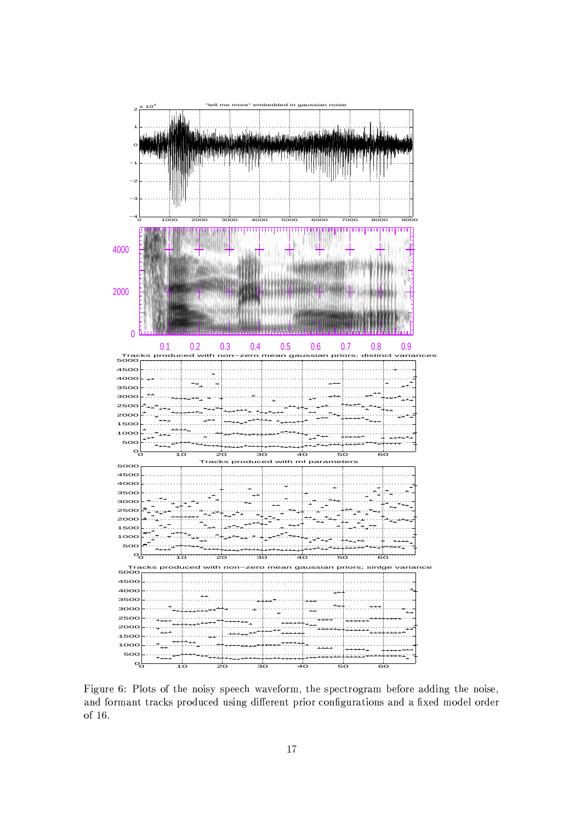

Figure 6: Plots of the noisy speech waveform, the spectrogram before adding the noise, and formant tracks produced using different prior configurations and a fixed model order of  $16$ .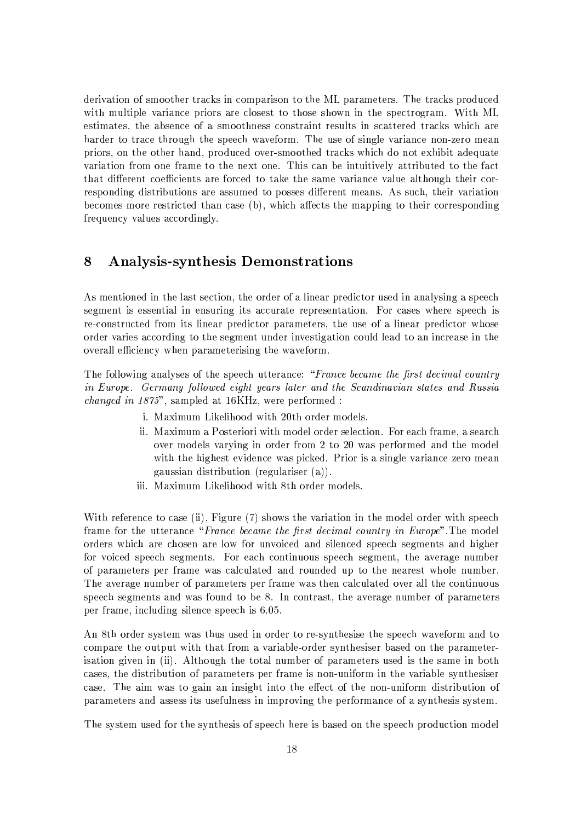derivation of smoother tracks in comparison to the ML parameters. The tracks produced with multiple variance priors are closest to those shown in the spectrogram. With ML estimates, the absence of a smoothness constraint results in scattered tracks which are harder to trace through the speech waveform. The use of single variance non-zero mean priors, on the other hand, produced over-smoothed tracks which do not exhibit adequate variation from one frame to the next one. This can be intuitively attributed to the fact that different coefficients are forced to take the same variance value although their corresponding distributions are assumed to posses different means. As such, their variation becomes more restricted than case (b), which affects the mapping to their corresponding frequency values accordingly.

#### **Analysis-synthesis Demonstrations** 8

As mentioned in the last section, the order of a linear predictor used in analysing a speech segment is essential in ensuring its accurate representation. For cases where speech is re-constructed from its linear predictor parameters, the use of a linear predictor whose order varies according to the segment under investigation could lead to an increase in the overall efficiency when parameterising the waveform.

The following analyses of the speech utterance: "France became the first decimal country in Europe. Germany followed eight years later and the Scandinavian states and Russia *changed in 1875*", sampled at 16KHz, were performed :

- i. Maximum Likelihood with 20th order models.
- ii. Maximum a Posteriori with model order selection. For each frame, a search over models varying in order from 2 to 20 was performed and the model with the highest evidence was picked. Prior is a single variance zero mean gaussian distribution (regulariser  $(a)$ ).
- iii. Maximum Likelihood with 8th order models.

With reference to case (ii), Figure (7) shows the variation in the model order with speech frame for the utterance "France became the first decimal country in Europe". The model orders which are chosen are low for unvoiced and silenced speech segments and higher for voiced speech segments. For each continuous speech segment, the average number of parameters per frame was calculated and rounded up to the nearest whole number. The average number of parameters per frame was then calculated over all the continuous speech segments and was found to be 8. In contrast, the average number of parameters per frame, including silence speech is 6.05.

An 8th order system was thus used in order to re-synthesise the speech waveform and to compare the output with that from a variable-order synthesiser based on the parameterisation given in (ii). Although the total number of parameters used is the same in both cases, the distribution of parameters per frame is non-uniform in the variable synthesiser case. The aim was to gain an insight into the effect of the non-uniform distribution of parameters and assess its usefulness in improving the performance of a synthesis system.

The system used for the synthesis of speech here is based on the speech production model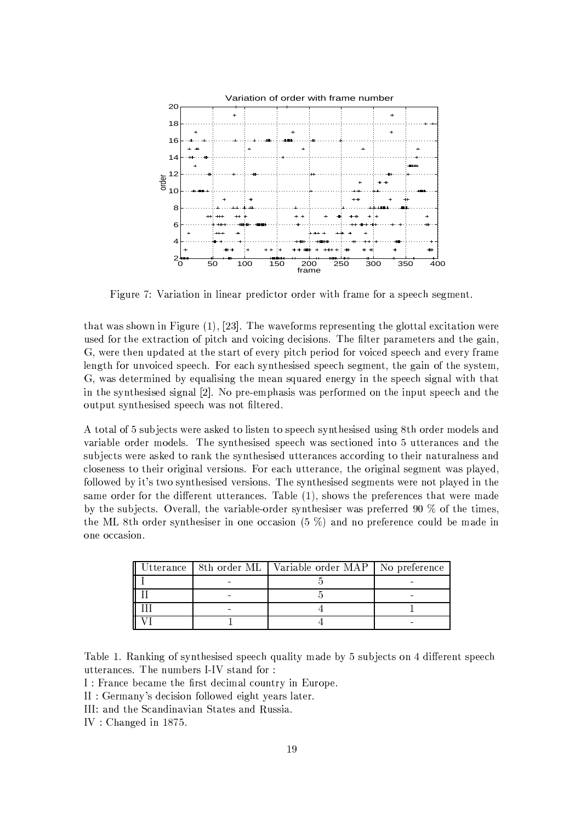

Figure 7: Variation in linear predictor order with frame for a speech segment.

that was shown in Figure  $(1)$ ,  $[23]$ . The waveforms representing the glottal excitation were used for the extraction of pitch and voicing decisions. The filter parameters and the gain, G, were then updated at the start of every pitch period for voiced speech and every frame length for unvoiced speech. For each synthesised speech segment, the gain of the system, G, was determined by equalising the mean squared energy in the speech signal with that in the synthesised signal [2]. No pre-emphasis was performed on the input speech and the output synthesised speech was not filtered.

A total of 5 subjects were asked to listen to speech synthesised using 8th order models and variable order models. The synthesised speech was sectioned into 5 utterances and the subjects were asked to rank the synthesised utterances according to their naturalness and closeness to their original versions. For each utterance, the original segment was played, followed by it's two synthesised versions. The synthesised segments were not played in the same order for the different utterances. Table (1), shows the preferences that were made by the subjects. Overall, the variable-order synthesiser was preferred 90  $\%$  of the times, the ML 8th order synthesiser in one occasion  $(5\%)$  and no preference could be made in one occasion.

|  | Utterance   8th order ML   Variable order MAP   No preference |  |
|--|---------------------------------------------------------------|--|
|  |                                                               |  |
|  |                                                               |  |
|  |                                                               |  |
|  |                                                               |  |

Table 1. Ranking of synthesised speech quality made by 5 subjects on 4 different speech utterances. The numbers I-IV stand for:

I: France became the first decimal country in Europe.

- II : Germany's decision followed eight years later.
- III: and the Scandinavian States and Russia.

IV: Changed in  $1875$ .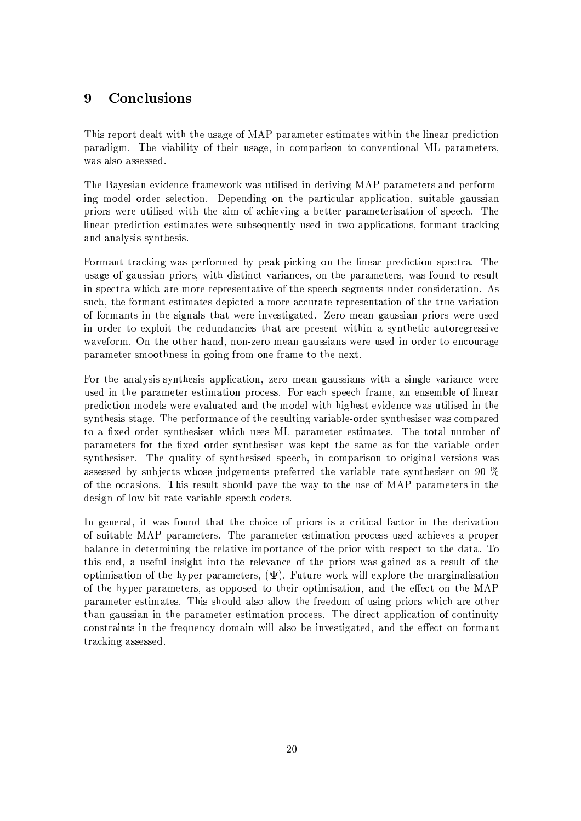### 9 Conclusions

This report dealt with the usage of MAP parameter estimates within the linear prediction paradigm. The viability of their usage, in comparison to conventional ML parameters. was also assessed.

The Bayesian evidence framework was utilised in deriving MAP parameters and performing model order selection. Depending on the particular application, suitable gaussian priors were utilised with the aim of achieving a better parameterisation of speech. The linear prediction estimates were subsequently used in two applications, formant tracking and analysis-synthesis.

Formant tracking was performed by peak-picking on the linear prediction spectra. The usage of gaussian priors, with distinct variances, on the parameters, was found to result in spectra which are more representative of the speech segments under consideration. As such, the formant estimates depicted a more accurate representation of the true variation of formants in the signals that were investigated. Zero mean gaussian priors were used in order to exploit the redundancies that are present within a synthetic autoregressive waveform. On the other hand, non-zero mean gaussians were used in order to encourage parameter smoothness in going from one frame to the next.

For the analysis-synthesis application, zero mean gaussians with a single variance were used in the parameter estimation process. For each speech frame, an ensemble of linear prediction models were evaluated and the model with highest evidence was utilised in the synthesis stage. The performance of the resulting variable-order synthesiser was compared to a fixed order synthesiser which uses ML parameter estimates. The total number of parameters for the fixed order synthesiser was kept the same as for the variable order synthesiser. The quality of synthesised speech, in comparison to original versions was assessed by subjects whose judgements preferred the variable rate synthesiser on 90 % of the occasions. This result should pave the way to the use of MAP parameters in the design of low bit-rate variable speech coders.

In general, it was found that the choice of priors is a critical factor in the derivation of suitable MAP parameters. The parameter estimation process used achieves a proper balance in determining the relative importance of the prior with respect to the data. To this end, a useful insight into the relevance of the priors was gained as a result of the optimisation of the hyper-parameters,  $(\Psi)$ . Future work will explore the marginalisation of the hyper-parameters, as opposed to their optimisation, and the effect on the MAP parameter estimates. This should also allow the freedom of using priors which are other than gaussian in the parameter estimation process. The direct application of continuity constraints in the frequency domain will also be investigated, and the effect on formant tracking assessed.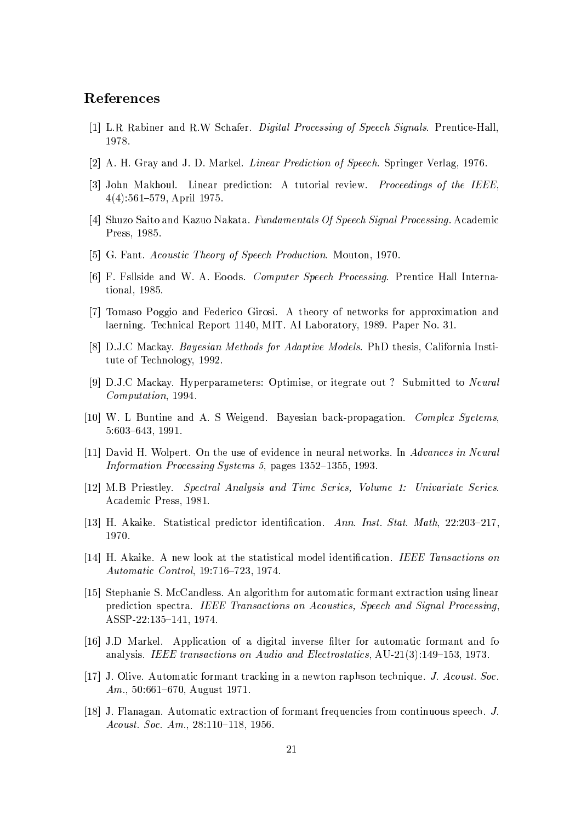# References

- [1] L.R. Rabiner and R.W Schafer. *Digital Processing of Speech Signals*. Prentice-Hall. 1978.
- [2] A. H. Gray and J. D. Markel. *Linear Prediction of Speech*. Springer Verlag, 1976.
- [3] John Makhoul. Linear prediction: A tutorial review. Proceedings of the IEEE,  $4(4):561-579$ , April 1975.
- [4] Shuzo Saito and Kazuo Nakata. Fundamentals Of Speech Signal Processing. Academic Press, 1985.
- [5] G. Fant. Acoustic Theory of Speech Production. Mouton, 1970.
- [6] F. Fsllside and W. A. Eoods. Computer Speech Processing. Prentice Hall International, 1985.
- [7] Tomaso Poggio and Federico Girosi. A theory of networks for approximation and laerning. Technical Report 1140, MIT. AI Laboratory, 1989. Paper No. 31.
- [8] D.J.C Mackay. *Bayesian Methods for Adaptive Models*. PhD thesis, California Institute of Technology, 1992.
- [9] D.J.C Mackay. Hyperparameters: Optimise, or itegrate out? Submitted to Neural Computation, 1994.
- [10] W. L Buntine and A. S Weigend. Bayesian back-propagation. Complex Syetems,  $5:603-643, 1991.$
- [11] David H. Wolpert. On the use of evidence in neural networks. In Advances in Neural Information Processing Systems 5, pages 1352-1355, 1993.
- [12] M.B Priestley. Spectral Analysis and Time Series, Volume 1: Univariate Series. Academic Press, 1981.
- [13] H. Akaike. Statistical predictor identification. Ann. Inst. Stat. Math. 22:203-217. 1970.
- [14] H. Akaike. A new look at the statistical model identification. IEEE Tansactions on Automatic Control, 19:716-723, 1974.
- [15] Stephanie S. McCandless. An algorithm for automatic formant extraction using linear prediction spectra. IEEE Transactions on Acoustics, Speech and Signal Processing, ASSP-22:135-141, 1974.
- [16] J.D Markel. Application of a digital inverse filter for automatic formant and fo analysis. IEEE transactions on Audio and Electrostatics, AU-21(3):149-153, 1973.
- [17] J. Olive. Automatic formant tracking in a newton raphson technique. J. Acoust. Soc. Am.,  $50:661-670$ , August 1971.
- [18] J. Flanagan, Automatic extraction of formant frequencies from continuous speech, J. Acoust. Soc. Am.,  $28:110-118$ , 1956.